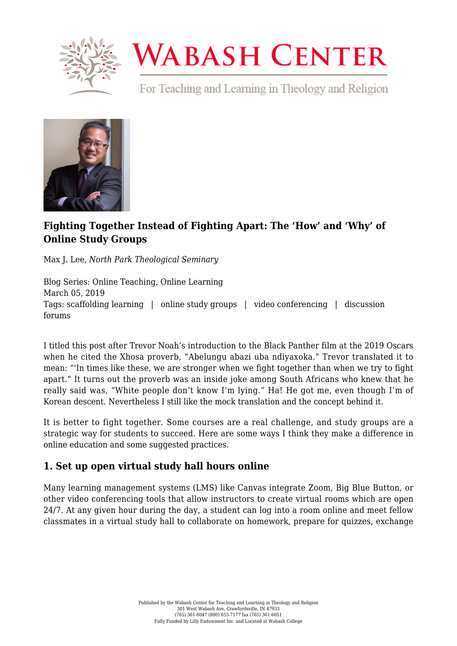

# **WABASH CENTER**

For Teaching and Learning in Theology and Religion



## **[Fighting Together Instead of Fighting Apart: The 'How' and 'Why' of](https://www.wabashcenter.wabash.edu/2019/03/the-how-and-why-of-online-study-groups/) [Online Study Groups](https://www.wabashcenter.wabash.edu/2019/03/the-how-and-why-of-online-study-groups/)**

Max J. Lee, *North Park Theological Seminary*

Blog Series: Online Teaching, Online Learning March 05, 2019 Tags: scaffolding learning | online study groups | video conferencing | discussion forums

I titled this post after [Trevor Noah's introduction to the Black Panther film at the 2019 Oscars](https://youtu.be/RjYsTQvOvDw) when he cited the Xhosa proverb, "Abelungu abazi uba ndiyaxoka." Trevor translated it to mean: "'In times like these, we are stronger when we fight together than when we try to fight apart." It turns out the proverb was an inside joke among South Africans who knew that he really said was, "White people don't know I'm lying." Ha! He got me, even though I'm of Korean descent. Nevertheless I still like the mock translation and the concept behind it.

It is better to fight together. Some courses are a real challenge, and study groups are a strategic way for students to succeed. Here are some ways I think they make a difference in online education and some suggested practices.

#### **1. Set up open virtual study hall hours online**

Many learning management systems (LMS) like [Canvas](https://www.canvaslms.com/) integrate [Zoom,](https://zoom.us/) [Big Blue Button,](https://bigbluebutton.org/) or other video conferencing tools that allow instructors to create virtual rooms which are open 24/7. At any given hour during the day, a student can log into a room online and meet fellow classmates in a virtual study hall to collaborate on homework, prepare for quizzes, exchange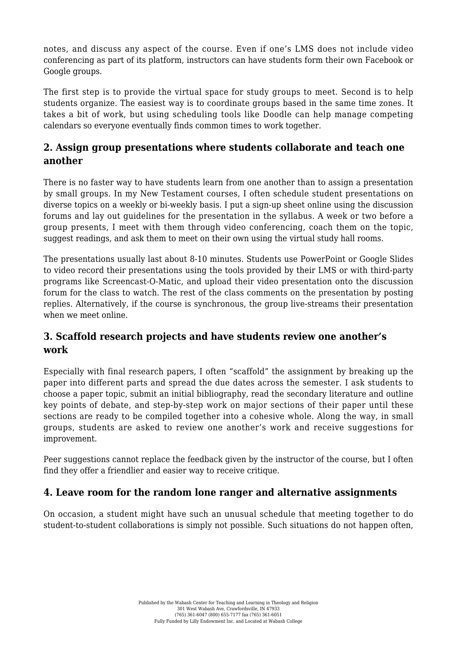notes, and discuss any aspect of the course. Even if one's LMS does not include video conferencing as part of its platform, instructors can have students form their own Facebook or Google groups.

The first step is to provide the virtual space for study groups to meet. Second is to help students organize. The easiest way is to coordinate groups based in the same time zones. It takes a bit of work, but using scheduling tools like Doodle can help manage competing calendars so everyone eventually finds common times to work together.

#### **2. Assign group presentations where students collaborate and teach one another**

There is no faster way to have students learn from one another than to assign a presentation by small groups. In my New Testament courses, I often schedule student presentations on diverse topics on a weekly or bi-weekly basis. I put a sign-up sheet online using the discussion forums and lay out guidelines for the presentation in the syllabus. A week or two before a group presents, I meet with them through video conferencing, coach them on the topic, suggest readings, and ask them to meet on their own using the virtual study hall rooms.

The presentations usually last about 8-10 minutes. Students use [PowerPoint](https://products.office.com/en-us/powerpoint) or [Google Slides](https://www.google.com/slides/about/) to video record their presentations using the tools provided by their LMS or with third-party programs like [Screencast-O-Matic](https://screencast-o-matic.com/), and upload their video presentation onto the discussion forum for the class to watch. The rest of the class comments on the presentation by posting replies. Alternatively, if the course is synchronous, the group live-streams their presentation when we meet online.

#### **3. Scaffold research projects and have students review one another's work**

Especially with final research papers, I often "scaffold" the assignment by breaking up the paper into different parts and spread the due dates across the semester. I ask students to choose a paper topic, submit an initial bibliography, read the secondary literature and outline key points of debate, and step-by-step work on major sections of their paper until these sections are ready to be compiled together into a cohesive whole. Along the way, in small groups, students are asked to review one another's work and receive suggestions for improvement.

Peer suggestions cannot replace the feedback given by the instructor of the course, but I often find they offer a friendlier and easier way to receive critique.

### **4. Leave room for the random lone ranger and alternative assignments**

On occasion, a student might have such an unusual schedule that meeting together to do student-to-student collaborations is simply not possible. Such situations do not happen often,